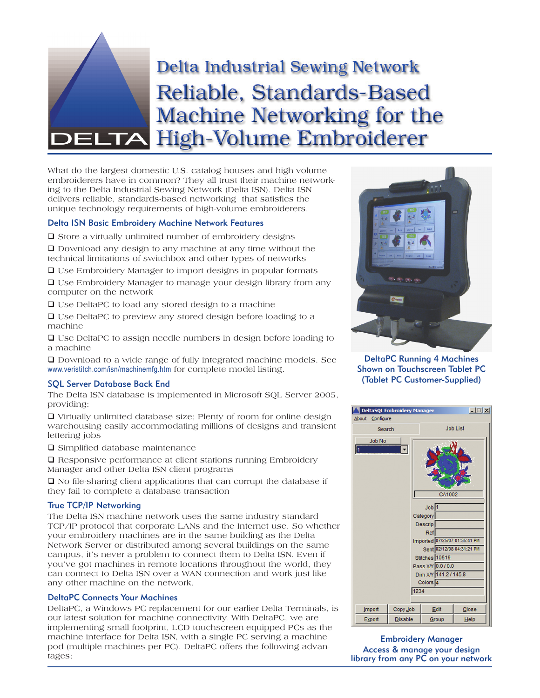

What do the largest domestic U.S. catalog houses and high-volume embroiderers have in common? They all trust their machine networking to the Delta Industrial Sewing Network (Delta ISN). Delta ISN delivers reliable, standards-based networking that satisfies the unique technology requirements of high-volume embroiderers.

## Delta ISN Basic Embroidery Machine Network Features

 $\Box$  Store a virtually unlimited number of embroidery designs

 Download any design to any machine at any time without the technical limitations of switchbox and other types of networks

Use Embroidery Manager to import designs in popular formats

 Use Embroidery Manager to manage your design library from any computer on the network

 $\Box$  Use DeltaPC to load any stored design to a machine

□ Use DeltaPC to preview any stored design before loading to a machine

 Use DeltaPC to assign needle numbers in design before loading to a machine

 Download to a wide range of fully integrated machine models. See www.veristitch.com/isn/machinemfg.htm for complete model listing.

### SQL Server Database Back End

The Delta ISN database is implemented in Microsoft SQL Server 2005, providing:

 $\Box$  Virtually unlimited database size; Plenty of room for online design warehousing easily accommodating millions of designs and transient lettering jobs

**□** Simplified database maintenance

□ Responsive performance at client stations running Embroidery Manager and other Delta ISN client programs

 $\Box$  No file-sharing client applications that can corrupt the database if they fail to complete a database transaction

# True TCP/IP Networking

The Delta ISN machine network uses the same industry standard TCP/IP protocol that corporate LANs and the Internet use. So whether your embroidery machines are in the same building as the Delta Network Server or distributed among several buildings on the same campus, it's never a problem to connect them to Delta ISN. Even if you've got machines in remote locations throughout the world, they can connect to Delta ISN over a WAN connection and work just like any other machine on the network.

# DeltaPC Connects Your Machines

DeltaPC, a Windows PC replacement for our earlier Delta Terminals, is our latest solution for machine connectivity. With DeltaPC, we are implementing small footprint, LCD touchscreen-equipped PCs as the machine interface for Delta ISN, with a single PC serving a machine pod (multiple machines per PC). DeltaPC offers the following advantages:



DeltaPC Running 4 Machines Shown on Touchscreen Tablet PC (Tablet PC Customer-Supplied)



Embroidery Manager Access & manage your design library from any PC on your network